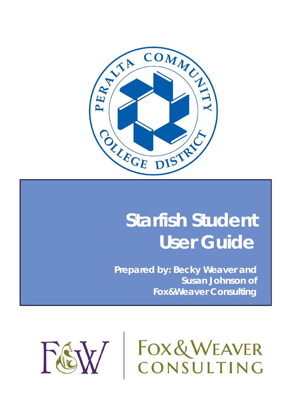

# **Starfish Student User Guide**

**Prepared by: Becky Weaver and Susan Johnson of Fox&Weaver Consulting**



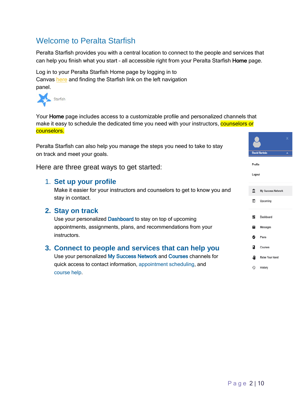# Welcome to Peralta Starfish

Peralta Starfish provides you with a central location to connect to the people and services that can help you finish what you start - all accessible right from your Peralta Starfish Home page.

Log in to your Peralta Starfish Home page by logging in to Canvas [here](http://peralta.instructure.com/login/canvas) and finding the Starfish link on the left navigation panel.



Your Home page includes access to a customizable profile and personalized channels that make it easy to schedule the dedicated time you need with your instructors, counselors or counselors.

Peralta Starfish can also help you manage the steps you need to take to stay on track and meet your goals.

Here are three great ways to get started:

## 1. **Set up your profile**

Make it easier for your instructors and counselors to get to know you and stay in contact.

## **2. [Stay on track](#page-7-0)**

Use your personalized [Dashboard](#page-7-0) to stay on top of upcoming appointments, assignments, plans, and recommendations from your instructors.

# **3. [Connect to people and services that can help you](#page-4-0)**

Use your personalized [My Success Network](#page-4-0) and [Courses](#page-4-0) channels for quick access to contact information, appointment scheduling, and course help.

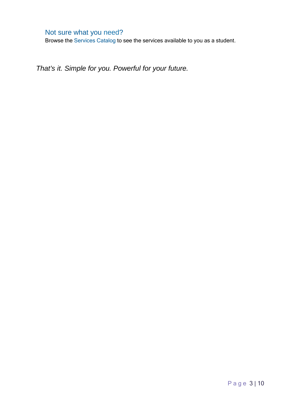# Not sure what you need?

Browse the [Services Catalog](#page-9-0) to see the services available to you as a student.

*That's it. Simple for you. Powerful for your future.*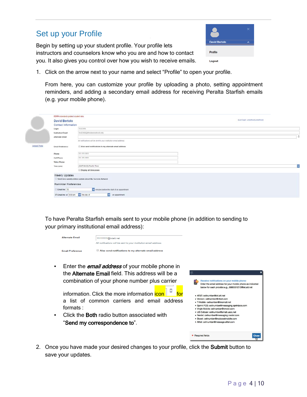# Set up your Profile

Begin by setting up your student profile. Your profile lets instructors and counselors know who you are and how to contact you. It also gives you control over how you wish to receive emails.



1. Click on the arrow next to your name and select "Profile" to open your profile.

From here, you can customize your profile by uploading a photo, setting appointment reminders, and adding a secondary email address for receiving Peralta Starfish emails (e.g. your mobile phone).

|              | FERPA standards protect student data.  |                                                                   |   |
|--------------|----------------------------------------|-------------------------------------------------------------------|---|
|              | <b>David Bertolo</b>                   | [Last login; undefined undefined]                                 |   |
|              | Contact Information                    |                                                                   |   |
|              | Login                                  | T6122466                                                          |   |
|              | <b>Institution Email</b>               | Test2466@thisdoesnotexist.edu                                     |   |
|              | Alternate Email                        |                                                                   | Ð |
|              |                                        | All notifications will be sent to your institution email address. |   |
| Upload Photo | Email Praference                       | Also send notifications to my alternate email address             |   |
|              | Phone                                  | 111-111-1111                                                      |   |
|              | Cell Phone                             | 111-111-1111                                                      |   |
|              | Video Phone                            |                                                                   |   |
|              | Time zone                              | (GMT-08.00) Pacific Time                                          | ⊵ |
|              |                                        | Display all time zones                                            |   |
|              | Weekly Updates<br>Reminder Preferences | Send me a weekly status update about My Success Network           |   |
|              | Email me 15                            | minutes before the start of an appointment                        |   |
|              | Email me at 9:00 am v the day of       | an appointment                                                    |   |

To have Peralta Starfish emails sent to your mobile phone (in addition to sending to your primary institutional email address):

| <b>Alternate Email</b>  | 111111111@txtatt.net<br>All notifications will be sent to your institution email address. |
|-------------------------|-------------------------------------------------------------------------------------------|
| <b>Email Preference</b> | Also send notifications to my alternate email address                                     |

• Enter the *email address* of your mobile phone in the Alternate Email field. This address will be a combination of your phone number plus carrier

information. Click the more information **icon**  $\frac{1}{2}$  for a list of common carriers and email address formats :

• Click the **Both** radio button associated with "Send my correspondence to".

| Receive notifications on your mobile phone:                |
|------------------------------------------------------------|
| Enter the email address for your mobile phone as indicated |
| below for each provider.e.g., 8885551212@txt.att.net       |
| · AT&T: cellnumber@txt.att.net                             |
| · Verizon: cellnumber@vtext.com                            |
| · T-Mobile: cellnumber@tmomail.net                         |
| · Sprint PCS: cellnumber@messaging.sprintpcs.com           |
| · Virgin Mobile: cellnumber@vmobl.com                      |
| · US Cellular: cellnumber@email.uscc.net                   |
| · Nextel: cellnumber@messaging.nextel.com                  |
| · Boost: cellnumber@myboostmobile.com                      |
| · Alltel: cellnumber@message.alltel.com                    |
| <b>Required fields</b><br>Clos                             |

2. Once you have made your desired changes to your profile, click the Submit button to save your updates.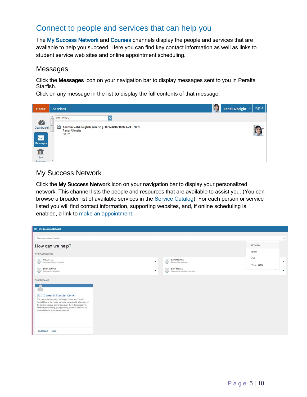# <span id="page-4-0"></span>Connect to people and services that can help you

The [My Success Network](#page-4-0) and [Courses](#page-4-0) channels display the people and services that are available to help you succeed. Here you can find key contact information as well as links to student service web sites and online appointment scheduling.

#### Messages

Click the Messages icon on your navigation bar to display messages sent to you in Peralta Starfish.

Click on any message in the list to display the full contents of that message.



# My Success Network

Click the My Success Network icon on your navigation bar to display your personalized network. This channel lists the people and resources that are available to assist you. (You can browse a broader list of available services in the [Service Catalog\).](#page-9-0) For each person or service listed you will find contact information, supporting websites, and, if online scheduling is enabled, a link to make an appointment.

| My Success Network                                                                                                                                                                                                                                                                                                                                                             |   |                                                                   |                                |
|--------------------------------------------------------------------------------------------------------------------------------------------------------------------------------------------------------------------------------------------------------------------------------------------------------------------------------------------------------------------------------|---|-------------------------------------------------------------------|--------------------------------|
| Search services and people                                                                                                                                                                                                                                                                                                                                                     |   |                                                                   | $\alpha$                       |
| How can we help?                                                                                                                                                                                                                                                                                                                                                               |   |                                                                   | Schedule                       |
| Your Connections                                                                                                                                                                                                                                                                                                                                                               |   |                                                                   | Email                          |
| Caleb Foster<br>C<br>Instructor, Primary Counselor                                                                                                                                                                                                                                                                                                                             | ٠ | DAVE NGUYEN<br>◠<br>Financial Aid Specialist                      | Call<br>$\sim$<br>View Profile |
| <b>LOAN NGUYEN</b><br>3<br>Financial Aid Specialist                                                                                                                                                                                                                                                                                                                            | ۰ | <b>Beth Williams</b><br>B<br>Financial Aid Specialist, Instructor | ٠                              |
| Your Services<br><b>BCC Career &amp; Transfer Center</b><br>Welcome to the Berkeley City College Career and Transfer<br>Centerl Here at the center, we assist students with all aspects of<br>the transfer process, as well as provide the tools necessary to<br>find the right internship, job opportunity, or career pathway. We<br>provide help with applications, personal |   |                                                                   |                                |
| CALL<br>SCHEDULE                                                                                                                                                                                                                                                                                                                                                               |   |                                                                   |                                |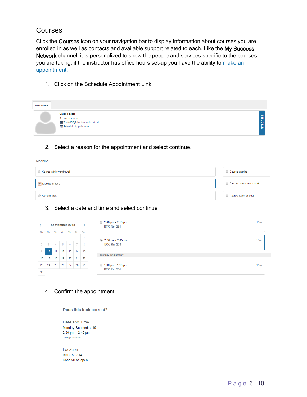## Courses

Teaching

Click the Courses icon on your navigation bar to display information about courses you are enrolled in as well as contacts and available support related to each. Like the My Success Network channel, it is personalized to show the people and services specific to the courses you are taking, if the instructor has office hours set-up you have the ability to make an appointment.

1. Click on the Schedule Appointment Link.

| <b>NETWORK</b> |                                                                                                      |                   |
|----------------|------------------------------------------------------------------------------------------------------|-------------------|
|                | <b>Caleb Foster</b><br>$U_111 - 111 - 1111$<br>Test9907@thisdoesnotexist.edu<br>Schedule Appointment | <b>INSTRUCTOR</b> |

#### 2. Select a reason for the appointment and select continue.

| $\sim$<br>Course add / withdrawal | ◯ Course tutoring                |
|-----------------------------------|----------------------------------|
| O Discuss grades                  | <b>Discuss prior course work</b> |
| General visit                     | Review exam or quiz              |

#### 3. Select a date and time and select continue

| $\leftarrow$   |                |        | September 2018 |                 |                | $\rightarrow$ | $2:00 \text{ pm} - 2:15 \text{ pm}$<br><b>BCC Rm 234</b> | 15 <sub>m</sub> |
|----------------|----------------|--------|----------------|-----------------|----------------|---------------|----------------------------------------------------------|-----------------|
| Su             | Mo             | Tu     | We             | Th.             | Fr.            | Sa            |                                                          |                 |
|                |                |        |                |                 |                | 1             | 2:30 pm - 2:45 pm                                        | 15 <sub>m</sub> |
| 2              | $\overline{3}$ | $\sim$ | $-5$           | $6\overline{6}$ | $\overline{7}$ | 8             | <b>BCC Rm 234</b>                                        |                 |
| $\overline{9}$ | 10             | 11     | 12             | 13              | 14             | 15            | Tuesday, September 11                                    |                 |
| 16             | 17             | 18     | 19             | 20              | 21             | 22            |                                                          |                 |
| 23             | 24             | 25     | 26             | 27              | 28             | 29            | $\bigcirc$ 1:00 pm - 1:15 pm                             | 15 <sub>m</sub> |
| 30             |                |        |                |                 |                |               | <b>BCC Rm 234</b>                                        |                 |
|                |                |        |                |                 |                |               |                                                          |                 |

#### 4. Confirm the appointment

| Does this look correct? |
|-------------------------|
| Date and Time           |
| Monday, September 10    |
| $2:30$ pm $- 2:45$ pm   |
| Change duration         |
|                         |
| Location                |
| <b>BCC Rm 234</b>       |
| Door will be open       |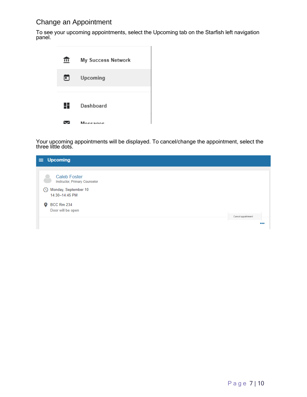# Change an Appointment

To see your upcoming appointments, select the Upcoming tab on the Starfish left navigation panel.



Your upcoming appointments will be displayed. To cancel/change the appointment, select the three little dots.

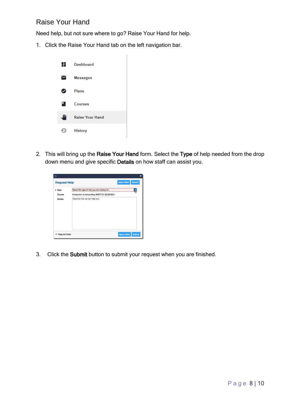# <span id="page-7-0"></span>Raise Your Hand

Need help, but not sure where to go? Raise Your Hand for help.

1. Click the Raise Your Hand tab on the left navigation bar.



2. This will bring up the Raise Your Hand form. Select the Type of help needed from the drop down menu and give specific Details on how staff can assist you.

|                        |                                                |                   | ×             |
|------------------------|------------------------------------------------|-------------------|---------------|
| <b>Request Help</b>    |                                                | <b>Never Mind</b> | <b>Submit</b> |
| Type                   | Select the type of help you are looking for    |                   |               |
| Course                 | Introduction to Accounting (ACCT101.02.201501) |                   |               |
| <b>Details</b>         | Describe how we can help you.                  |                   |               |
| <b>Required fields</b> |                                                | <b>Never Mind</b> | <b>Submit</b> |

3. Click the Submit button to submit your request when you are finished.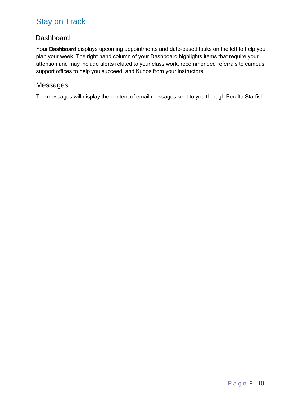# Stay on Track

# **Dashboard**

Your Dashboard displays upcoming appointments and date-based tasks on the left to help you plan your week. The right hand column of your Dashboard highlights items that require your attention and may include alerts related to your class work, recommended referrals to campus support offices to help you succeed, and Kudos from your instructors.

## Messages

The messages will display the content of email messages sent to you through Peralta Starfish.